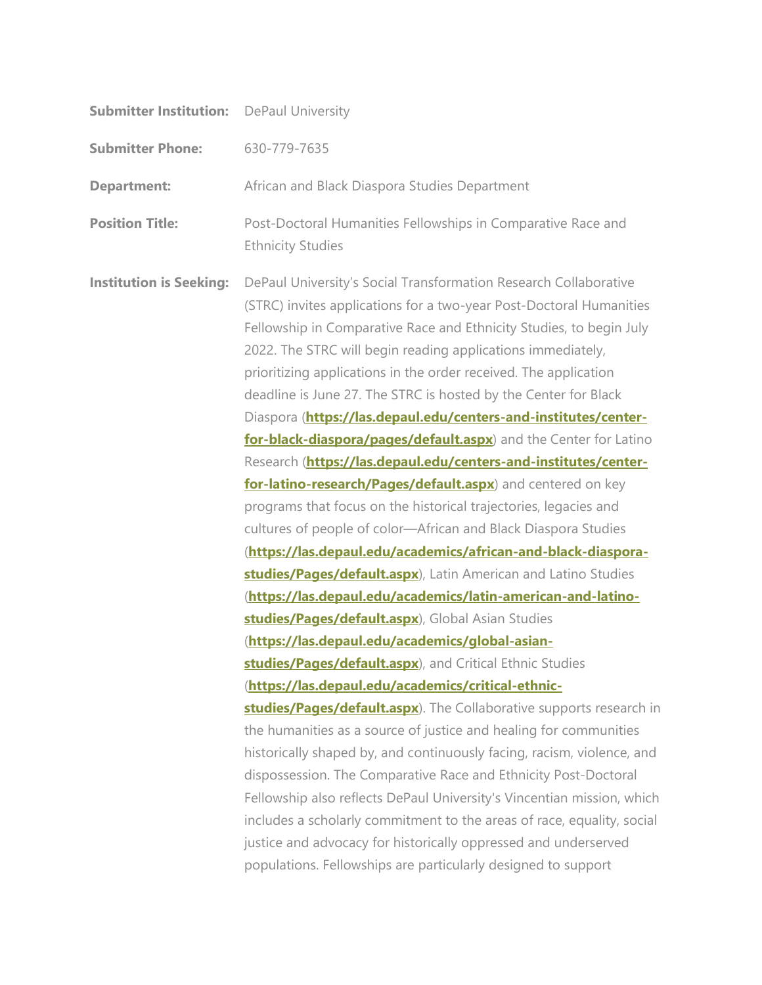| <b>Submitter Institution:</b> DePaul University |                                                                                                                                                                                                                                                                                                                                                                                                                      |
|-------------------------------------------------|----------------------------------------------------------------------------------------------------------------------------------------------------------------------------------------------------------------------------------------------------------------------------------------------------------------------------------------------------------------------------------------------------------------------|
| <b>Submitter Phone:</b>                         | 630-779-7635                                                                                                                                                                                                                                                                                                                                                                                                         |
| <b>Department:</b>                              | African and Black Diaspora Studies Department                                                                                                                                                                                                                                                                                                                                                                        |
| <b>Position Title:</b>                          | Post-Doctoral Humanities Fellowships in Comparative Race and<br><b>Ethnicity Studies</b>                                                                                                                                                                                                                                                                                                                             |
| <b>Institution is Seeking:</b>                  | DePaul University's Social Transformation Research Collaborative<br>(STRC) invites applications for a two-year Post-Doctoral Humanities<br>Fellowship in Comparative Race and Ethnicity Studies, to begin July<br>2022. The STRC will begin reading applications immediately,<br>prioritizing applications in the order received. The application<br>deadline is June 27. The STRC is hosted by the Center for Black |
|                                                 | Diaspora (https://las.depaul.edu/centers-and-institutes/center-                                                                                                                                                                                                                                                                                                                                                      |
|                                                 | for-black-diaspora/pages/default.aspx) and the Center for Latino                                                                                                                                                                                                                                                                                                                                                     |
|                                                 | Research (https://las.depaul.edu/centers-and-institutes/center-                                                                                                                                                                                                                                                                                                                                                      |
|                                                 | for-latino-research/Pages/default.aspx) and centered on key                                                                                                                                                                                                                                                                                                                                                          |
|                                                 | programs that focus on the historical trajectories, legacies and                                                                                                                                                                                                                                                                                                                                                     |
|                                                 | cultures of people of color-African and Black Diaspora Studies                                                                                                                                                                                                                                                                                                                                                       |
|                                                 | (https://las.depaul.edu/academics/african-and-black-diaspora-                                                                                                                                                                                                                                                                                                                                                        |
|                                                 | studies/Pages/default.aspx), Latin American and Latino Studies                                                                                                                                                                                                                                                                                                                                                       |
|                                                 | (https://las.depaul.edu/academics/latin-american-and-latino-                                                                                                                                                                                                                                                                                                                                                         |
|                                                 | studies/Pages/default.aspx), Global Asian Studies                                                                                                                                                                                                                                                                                                                                                                    |
|                                                 | (https://las.depaul.edu/academics/global-asian-                                                                                                                                                                                                                                                                                                                                                                      |
|                                                 | studies/Pages/default.aspx), and Critical Ethnic Studies                                                                                                                                                                                                                                                                                                                                                             |
|                                                 | (https://las.depaul.edu/academics/critical-ethnic-                                                                                                                                                                                                                                                                                                                                                                   |
|                                                 | studies/Pages/default.aspx). The Collaborative supports research in                                                                                                                                                                                                                                                                                                                                                  |
|                                                 | the humanities as a source of justice and healing for communities                                                                                                                                                                                                                                                                                                                                                    |
|                                                 | historically shaped by, and continuously facing, racism, violence, and                                                                                                                                                                                                                                                                                                                                               |
|                                                 | dispossession. The Comparative Race and Ethnicity Post-Doctoral                                                                                                                                                                                                                                                                                                                                                      |
|                                                 | Fellowship also reflects DePaul University's Vincentian mission, which                                                                                                                                                                                                                                                                                                                                               |
|                                                 | includes a scholarly commitment to the areas of race, equality, social                                                                                                                                                                                                                                                                                                                                               |
|                                                 | justice and advocacy for historically oppressed and underserved                                                                                                                                                                                                                                                                                                                                                      |
|                                                 | populations. Fellowships are particularly designed to support                                                                                                                                                                                                                                                                                                                                                        |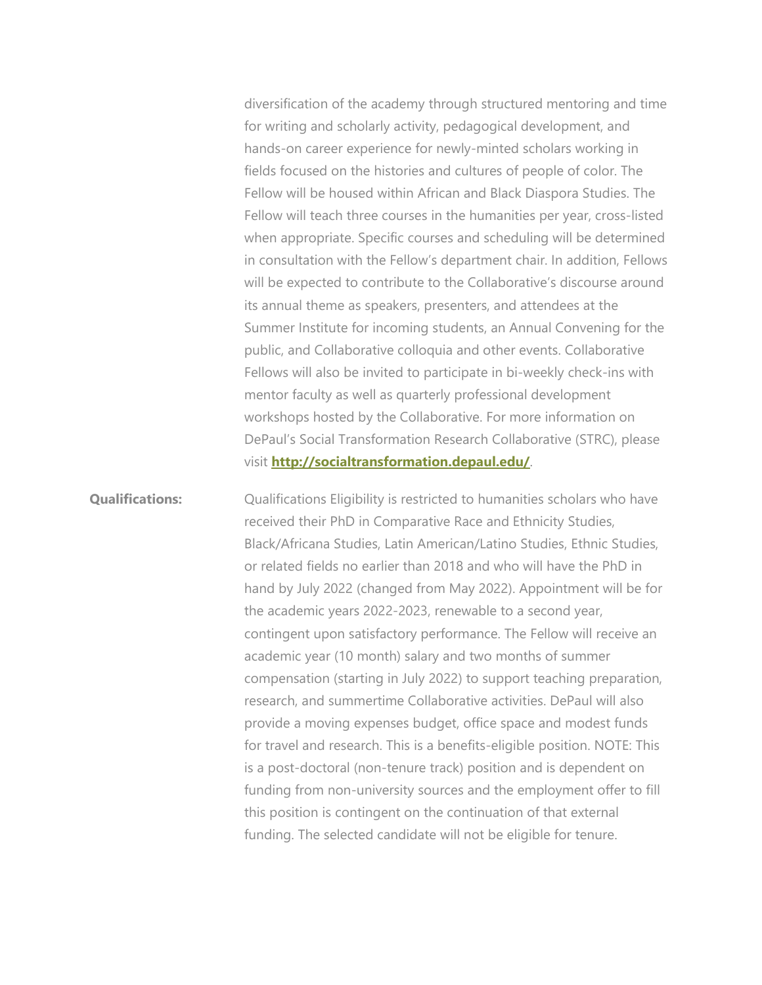diversification of the academy through structured mentoring and time for writing and scholarly activity, pedagogical development, and hands-on career experience for newly-minted scholars working in fields focused on the histories and cultures of people of color. The Fellow will be housed within African and Black Diaspora Studies. The Fellow will teach three courses in the humanities per year, cross-listed when appropriate. Specific courses and scheduling will be determined in consultation with the Fellow's department chair. In addition, Fellows will be expected to contribute to the Collaborative's discourse around its annual theme as speakers, presenters, and attendees at the Summer Institute for incoming students, an Annual Convening for the public, and Collaborative colloquia and other events. Collaborative Fellows will also be invited to participate in bi-weekly check-ins with mentor faculty as well as quarterly professional development workshops hosted by the Collaborative. For more information on DePaul's Social Transformation Research Collaborative (STRC), please visit **<http://socialtransformation.depaul.edu/>**.

**Qualifications:** Qualifications Eligibility is restricted to humanities scholars who have received their PhD in Comparative Race and Ethnicity Studies, Black/Africana Studies, Latin American/Latino Studies, Ethnic Studies, or related fields no earlier than 2018 and who will have the PhD in hand by July 2022 (changed from May 2022). Appointment will be for the academic years 2022-2023, renewable to a second year, contingent upon satisfactory performance. The Fellow will receive an academic year (10 month) salary and two months of summer compensation (starting in July 2022) to support teaching preparation, research, and summertime Collaborative activities. DePaul will also provide a moving expenses budget, office space and modest funds for travel and research. This is a benefits-eligible position. NOTE: This is a post-doctoral (non-tenure track) position and is dependent on funding from non-university sources and the employment offer to fill this position is contingent on the continuation of that external funding. The selected candidate will not be eligible for tenure.